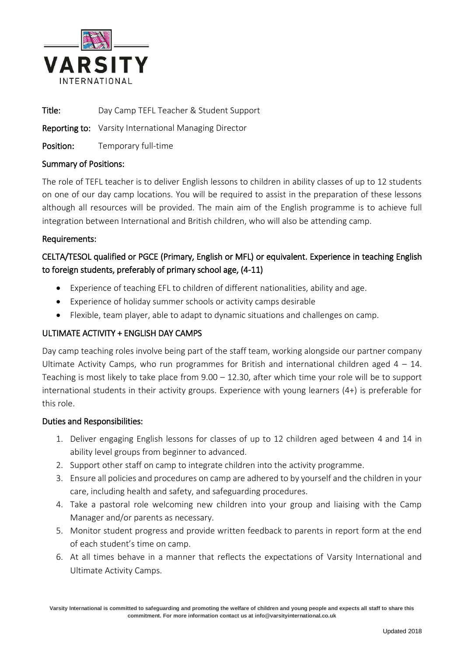

Title: Day Camp TEFL Teacher & Student Support

Reporting to: Varsity International Managing Director

Position: Temporary full-time

## Summary of Positions:

The role of TEFL teacher is to deliver English lessons to children in ability classes of up to 12 students on one of our day camp locations. You will be required to assist in the preparation of these lessons although all resources will be provided. The main aim of the English programme is to achieve full integration between International and British children, who will also be attending camp.

## Requirements:

# CELTA/TESOL qualified or PGCE (Primary, English or MFL) or equivalent. Experience in teaching English to foreign students, preferably of primary school age, (4-11)

- Experience of teaching EFL to children of different nationalities, ability and age.
- Experience of holiday summer schools or activity camps desirable
- Flexible, team player, able to adapt to dynamic situations and challenges on camp.

# ULTIMATE ACTIVITY + ENGLISH DAY CAMPS

Day camp teaching roles involve being part of the staff team, working alongside our partner company Ultimate Activity Camps, who run programmes for British and international children aged  $4 - 14$ . Teaching is most likely to take place from 9.00 – 12.30, after which time your role will be to support international students in their activity groups. Experience with young learners (4+) is preferable for this role.

#### Duties and Responsibilities:

- 1. Deliver engaging English lessons for classes of up to 12 children aged between 4 and 14 in ability level groups from beginner to advanced.
- 2. Support other staff on camp to integrate children into the activity programme.
- 3. Ensure all policies and procedures on camp are adhered to by yourself and the children in your care, including health and safety, and safeguarding procedures.
- 4. Take a pastoral role welcoming new children into your group and liaising with the Camp Manager and/or parents as necessary.
- 5. Monitor student progress and provide written feedback to parents in report form at the end of each student's time on camp.
- 6. At all times behave in a manner that reflects the expectations of Varsity International and Ultimate Activity Camps.

**Varsity International is committed to safeguarding and promoting the welfare of children and young people and expects all staff to share this commitment. For more information contact us at info@varsityinternational.co.uk**